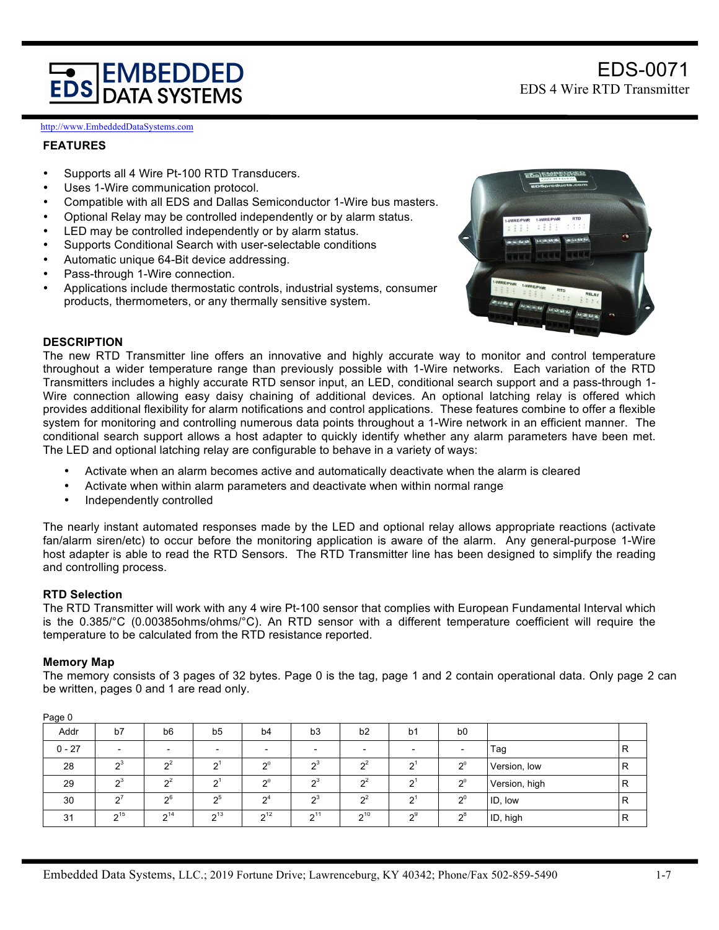# **EMBEDDED DATA SYSTEMS**

http://www.EmbeddedDataSystems.com

## **FEATURES**

- Supports all 4 Wire Pt-100 RTD Transducers.
- Uses 1-Wire communication protocol.
- Compatible with all EDS and Dallas Semiconductor 1-Wire bus masters.
- Optional Relay may be controlled independently or by alarm status.
- LED may be controlled independently or by alarm status.
- Supports Conditional Search with user-selectable conditions
- Automatic unique 64-Bit device addressing.
- Pass-through 1-Wire connection.
- Applications include thermostatic controls, industrial systems, consumer products, thermometers, or any thermally sensitive system.



EDS-0071

EDS 4 Wire RTD Transmitter

# **DESCRIPTION**

The new RTD Transmitter line offers an innovative and highly accurate way to monitor and control temperature throughout a wider temperature range than previously possible with 1-Wire networks. Each variation of the RTD Transmitters includes a highly accurate RTD sensor input, an LED, conditional search support and a pass-through 1- Wire connection allowing easy daisy chaining of additional devices. An optional latching relay is offered which provides additional flexibility for alarm notifications and control applications. These features combine to offer a flexible system for monitoring and controlling numerous data points throughout a 1-Wire network in an efficient manner. The conditional search support allows a host adapter to quickly identify whether any alarm parameters have been met. The LED and optional latching relay are configurable to behave in a variety of ways:

- Activate when an alarm becomes active and automatically deactivate when the alarm is cleared
- Activate when within alarm parameters and deactivate when within normal range
- Independently controlled

The nearly instant automated responses made by the LED and optional relay allows appropriate reactions (activate fan/alarm siren/etc) to occur before the monitoring application is aware of the alarm. Any general-purpose 1-Wire host adapter is able to read the RTD Sensors. The RTD Transmitter line has been designed to simplify the reading and controlling process.

## **RTD Selection**

The RTD Transmitter will work with any 4 wire Pt-100 sensor that complies with European Fundamental Interval which is the 0.385/°C (0.00385ohms/ohms/°C). An RTD sensor with a different temperature coefficient will require the temperature to be calculated from the RTD resistance reported.

#### **Memory Map**

The memory consists of 3 pages of 32 bytes. Page 0 is the tag, page 1 and 2 contain operational data. Only page 2 can be written, pages 0 and 1 are read only.

| . ago o  |                |                 |                   |                     |                     |                |                 |                |               |   |
|----------|----------------|-----------------|-------------------|---------------------|---------------------|----------------|-----------------|----------------|---------------|---|
| Addr     | b7             | b <sub>6</sub>  | b <sub>5</sub>    | b4                  | b3                  | b2             | b1              | b <sub>0</sub> |               |   |
| $0 - 27$ |                |                 |                   |                     |                     |                |                 |                | Tag           | R |
| 28       | $\mathbf{a}^3$ | n <sup>2</sup>  | $\mathbf{C}^1$    | $\mathbf{D}^0$      | $\mathbf{a}^3$      | $\mathbf{a}^2$ | $\mathbf{C}^1$  | 20             | Version, low  | R |
| 29       | $\mathbf{a}^3$ | $\mathbf{a}^2$  | $\mathbf{a}^1$    | $\mathbf{D}^0$      | $\sim$ <sup>3</sup> | $\mathbf{a}^2$ | $\mathbf{v}_1$  | $2^0$          | Version, high | R |
| 30       | $\sim$         | $\mathcal{D}^6$ | -ინ               | $\mathsf{\Omega}^4$ | $\mathbf{a}^3$      | $\mathbf{a}^2$ | $\mathbf{a}^1$  | $2^0$          | ID, low       | R |
| 31       | $2^{15}$       | 2 <sup>14</sup> | $\mathbf{a}^{13}$ | 2 <sup>12</sup>     | 211                 | $2^{10}$       | $\mathcal{D}^9$ | $2^8$          | ID, high      | R |

Page 0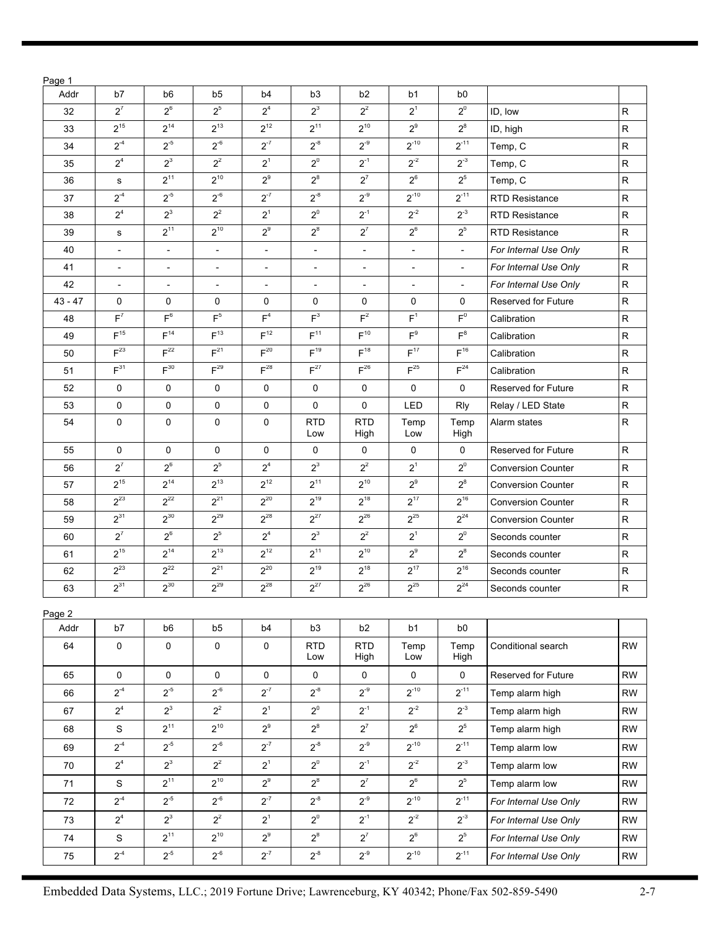| Page 1    |                         |                          |                          |                          |                          |                          |                          |                          |                            |              |
|-----------|-------------------------|--------------------------|--------------------------|--------------------------|--------------------------|--------------------------|--------------------------|--------------------------|----------------------------|--------------|
| Addr      | b7                      | b <sub>6</sub>           | b <sub>5</sub>           | b4                       | b <sub>3</sub>           | b <sub>2</sub>           | b <sub>1</sub>           | b <sub>0</sub>           |                            |              |
| 32        | $2^7$                   | $2^6$                    | $2^5$                    | 2 <sup>4</sup>           | $2^3$                    | $2^2$                    | $2^1$                    | $2^0$                    | ID, low                    | R            |
| 33        | $2^{15}$                | $2^{14}$                 | $2^{13}$                 | $2^{12}$                 | $2^{11}$                 | $2^{10}$                 | $2^9$                    | $2^8$                    | ID, high                   | R            |
| 34        | $2^{-4}$                | $2^{-5}$                 | $2^{-6}$                 | $2^{-7}$                 | $2^{-8}$                 | $2^{-9}$                 | $2^{-10}$                | $2^{-11}$                | Temp, C                    | R            |
| 35        | 2 <sup>4</sup>          | $2^3$                    | $2^2$                    | $2^1$                    | $2^0$                    | $2^{-1}$                 | $2^{-2}$                 | $2^{-3}$                 | Temp, C                    | $\mathsf{R}$ |
| 36        | ${\bf s}$               | $2^{11}$                 | $2^{10}$                 | $2^9$                    | $2^8$                    | $2^7$                    | $2^6$                    | $2^5$                    | Temp, C                    | R            |
| 37        | $2^{-4}$                | $2^{-5}$                 | $2^{-6}$                 | $2^{-7}$                 | $2^{-8}$                 | $2^{-9}$                 | $2^{-10}$                | $2^{-11}$                | <b>RTD Resistance</b>      | $\mathsf{R}$ |
| 38        | 2 <sup>4</sup>          | $2^3$                    | $2^2$                    | $2^1$                    | $2^0$                    | $2^{-1}$                 | $2^{-2}$                 | $2^{-3}$                 | <b>RTD Resistance</b>      | $\mathsf{R}$ |
| 39        | s                       | $2^{11}$                 | $2^{10}$                 | $2^9$                    | $2^8$                    | $2^7$                    | $2^6$                    | $2^5$                    | <b>RTD Resistance</b>      | $\mathsf{R}$ |
| 40        |                         | $\overline{\phantom{a}}$ | $\overline{\phantom{a}}$ | $\overline{\phantom{a}}$ | $\overline{\phantom{0}}$ | $\overline{\phantom{a}}$ | $\overline{a}$           | $\overline{\phantom{a}}$ | For Internal Use Only      | $\mathsf{R}$ |
| 41        |                         | $\overline{\phantom{a}}$ | $\overline{\phantom{a}}$ | $\overline{\phantom{a}}$ | $\overline{\phantom{a}}$ | $\overline{\phantom{0}}$ | $\overline{\phantom{0}}$ | $\overline{\phantom{a}}$ | For Internal Use Only      | $\mathsf{R}$ |
| 42        |                         | $\overline{\phantom{a}}$ | $\overline{\phantom{a}}$ | $\overline{\phantom{a}}$ | $\overline{\phantom{a}}$ | $\overline{\phantom{0}}$ | $\overline{\phantom{0}}$ | $\overline{\phantom{0}}$ | For Internal Use Only      | $\mathsf{R}$ |
| $43 - 47$ | 0                       | 0                        | 0                        | 0                        | 0                        | 0                        | 0                        | 0                        | <b>Reserved for Future</b> | R            |
| 48        | F <sup>7</sup>          | $F^6$                    | F <sup>5</sup>           | F <sup>4</sup>           | $F^3$                    | F <sup>2</sup>           | F <sup>1</sup>           | $F^0$                    | Calibration                | $\mathsf{R}$ |
| 49        | F <sup>15</sup>         | $F^{14}$                 | F <sup>13</sup>          | F <sup>12</sup>          | F <sup>11</sup>          | F <sup>10</sup>          | $F^9$                    | $F^8$                    | Calibration                | $\mathsf{R}$ |
| 50        | $F^{23}$                | $F^{22}$                 | F <sup>21</sup>          | $F^{20}$                 | F <sup>19</sup>          | $F^{18}$                 | F <sup>17</sup>          | $F^{16}$                 | Calibration                | $\mathsf{R}$ |
| 51        | $F^{31}$                | $F^{30}$                 | $F^{29}$                 | $F^{28}$                 | $F^{27}$                 | $F^{26}$                 | $F^{25}$                 | $F^{24}$                 | Calibration                | $\mathsf{R}$ |
| 52        | 0                       | 0                        | 0                        | 0                        | 0                        | 0                        | 0                        | 0                        | <b>Reserved for Future</b> | $\mathsf{R}$ |
| 53        | 0                       | 0                        | 0                        | 0                        | 0                        | 0                        | LED                      | Rly                      | Relay / LED State          | $\mathsf{R}$ |
| 54        | 0                       | 0                        | 0                        | 0                        | <b>RTD</b><br>Low        | <b>RTD</b><br>High       | Temp<br>Low              | Temp<br>High             | Alarm states               | ${\sf R}$    |
| 55        | 0                       | 0                        | 0                        | 0                        | 0                        | 0                        | 0                        | 0                        | <b>Reserved for Future</b> | ${\sf R}$    |
| 56        | $2^7$                   | $2^6$                    | $2^5$                    | 2 <sup>4</sup>           | $2^3$                    | $2^2$                    | $2^1$                    | $2^0$                    | <b>Conversion Counter</b>  | R            |
| 57        | $2^{15}$                | $2^{14}$                 | $2^{13}$                 | $2^{12}$                 | $2^{11}$                 | $2^{10}$                 | $2^9$                    | $2^8$                    | <b>Conversion Counter</b>  | R            |
| 58        | $2^{23}$                | $2^{22}$                 | $2^{21}$                 | $2^{20}$                 | $2^{19}$                 | $2^{18}$                 | $2^{17}$                 | $2^{16}$                 | <b>Conversion Counter</b>  | $\mathsf{R}$ |
| 59        | $2^{31}$                | $2^{30}$                 | $2^{29}$                 | $2^{28}$                 | $2^{27}$                 | $2^{26}$                 | $2^{25}$                 | $2^{24}$                 | <b>Conversion Counter</b>  | $\mathsf R$  |
| 60        | $2^7$                   | $2^6$                    | $2^5$                    | 2 <sup>4</sup>           | $2^3$                    | $2^2$                    | $2^1$                    | $2^0$                    | Seconds counter            | $\mathsf{R}$ |
| 61        | $2^{15}$                | $2^{14}$                 | $2^{13}$                 | $2^{12}$                 | $2^{11}$                 | $2^{10}$                 | $2^9$                    | $2^8$                    | Seconds counter            | $\mathsf{R}$ |
| 62        | $2^{23}$                | $2^{22}$                 | $2^{21}$                 | $2^{20}$                 | $2^{19}$                 | $2^{18}$                 | $2^{17}$                 | $2^{16}$                 | Seconds counter            | $\mathsf{R}$ |
| 63        | $2^{31}$                | $2^{30}$                 | $2^{29}$                 | $2^{28}$                 | $2^{27}$                 | $2^{26}$                 | $2^{25}$                 | $2^{24}$                 | Seconds counter            | $\mathsf{R}$ |
| Page 2    |                         |                          |                          |                          |                          |                          |                          |                          |                            |              |
| Addr      | b7                      | b <sub>6</sub>           | b5                       | b4                       | b3                       | b2                       | b1                       | b <sub>0</sub>           |                            |              |
| 64        | 0                       | 0                        | 0                        | 0                        | <b>RTD</b><br>Low        | <b>RTD</b><br>High       | Temp<br>Low              | Temp<br>High             | Conditional search         | <b>RW</b>    |
| 65        | $\mathsf{O}\phantom{0}$ | $\mathsf{O}$             | $\mathsf{O}$             | $\mathsf{O}$             | $\mathsf{O}$             | $\mathsf{O}$             | $\mathsf{O}$             | $\mathsf{O}$             | Reserved for Future        | <b>RW</b>    |
| 66        | $2^{-4}$                | $2^{-5}$                 | $2^{-6}$                 | $2^{-7}$                 | $2^{-8}$                 | $2^{-9}$                 | $2^{-10}$                | $2^{-11}$                | Temp alarm high            | <b>RW</b>    |
| 67        | 2 <sup>4</sup>          | $2^3$                    | $2^2$                    | $2^1$                    | $2^0$                    | $2^{-1}$                 | $2^{-2}$                 | $2^{-3}$                 | Temp alarm high            | <b>RW</b>    |
| 68        | ${\mathsf S}$           | $2^{11}$                 | $2^{10}$                 | $2^9$                    | $2^8$                    | $2^7$                    | $2^6$                    | $2^5$                    | Temp alarm high            | <b>RW</b>    |
| 69        | $2^{-4}$                | $2^{-5}$                 | $2^{-6}$                 | $2^{-7}$                 | $2^{-8}$                 | $2^{-9}$                 | $2^{-10}$                | $2^{-11}$                | Temp alarm low             | <b>RW</b>    |
| 70        | 2 <sup>4</sup>          | $2^3$                    | $2^2$                    | $2^1$                    | $2^0$                    | $2^{-1}$                 | $2^{-2}$                 | $2^{-3}$                 | Temp alarm low             | <b>RW</b>    |
| 71        | $\mathsf S$             | $2^{11}$                 | $2^{10}$                 | $2^9$                    | $2^8$                    | $2^7$                    | $2^6$                    | $2^5$                    | Temp alarm low             | <b>RW</b>    |
| $72\,$    | $2^{-4}$                | $2^{-5}$                 | $2^{-6}$                 | $2^{-7}$                 | $2^{-8}$                 | $2^{-9}$                 | $2^{-10}$                | $2^{-11}$                | For Internal Use Only      | <b>RW</b>    |
| 73        | 2 <sup>4</sup>          | $2^3$                    | $2^2$                    | $2^1$                    | $2^0$                    | $2^{-1}$                 | $2^{-2}$                 | $2^{-3}$                 | For Internal Use Only      | <b>RW</b>    |
| $74\,$    | ${\mathsf S}$           | $2^{11}$                 | $2^{10}$                 | $2^9$                    | $2^8$                    | $2^7$                    | $2^6$                    | $2^5$                    | For Internal Use Only      | <b>RW</b>    |
| 75        | $2^4$                   | $2^{-5}$                 | $2^{-6}$                 | $2^{-7}$                 | $2^{-8}$                 | $2^{-9}$                 | $2^{-10}$                | $2^{-11}$                | For Internal Use Only      | RW           |
|           |                         |                          |                          |                          |                          |                          |                          |                          |                            |              |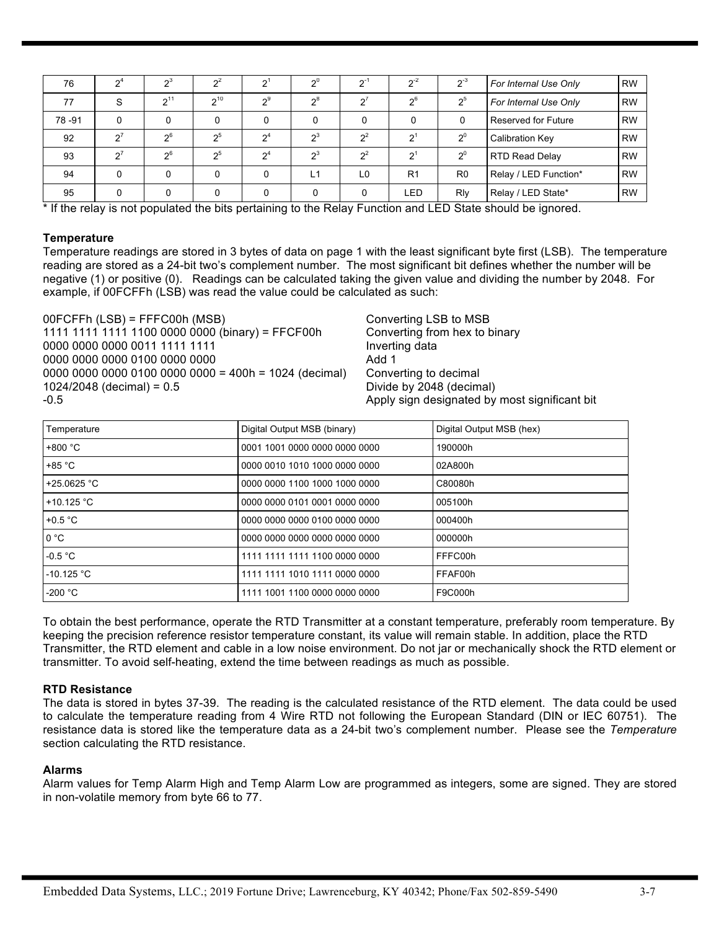| 76    | 2 <sup>4</sup>        | $2^3$          | $2^2$            | י פ   | $2^0$ | $2^{i}$        | $2^{-2}$       | $2^{\circ}$    | For Internal Use Only      | <b>RW</b> |
|-------|-----------------------|----------------|------------------|-------|-------|----------------|----------------|----------------|----------------------------|-----------|
| 77    | S                     | $2^{11}$       | $2^{10}$         | $2^9$ | $2^8$ | $2^7$          | 2 <sup>6</sup> | 2 <sup>5</sup> | For Internal Use Only      | <b>RW</b> |
| 78-91 | 0                     |                | 0                | 0     | 0     |                |                |                | <b>Reserved for Future</b> | <b>RW</b> |
| 92    | $\sigma$ <sup>7</sup> | 2 <sup>6</sup> | 2 <sub>5</sub>   | $2^4$ | $2^3$ | $2^2$          | י פ            | $\mathbf{v}^0$ | <b>Calibration Key</b>     | <b>RW</b> |
| 93    | $\mathbf{a}$          | 2 <sup>6</sup> | 2 <sub>0</sub> 5 | $2^4$ | $2^3$ | $2^2$          | $2^1$          | $2^0$          | <b>RTD Read Delay</b>      | <b>RW</b> |
| 94    |                       | 0              | 0                | 0     | L1    | L <sub>0</sub> | R <sub>1</sub> | R <sub>0</sub> | Relay / LED Function*      | <b>RW</b> |
| 95    |                       | 0              | 0                | 0     | 0     |                | <b>LED</b>     | Rly            | Relay / LED State*         | <b>RW</b> |

\* If the relay is not populated the bits pertaining to the Relay Function and LED State should be ignored.

#### **Temperature**

Temperature readings are stored in 3 bytes of data on page 1 with the least significant byte first (LSB). The temperature reading are stored as a 24-bit two's complement number. The most significant bit defines whether the number will be negative (1) or positive (0). Readings can be calculated taking the given value and dividing the number by 2048. For example, if 00FCFFh (LSB) was read the value could be calculated as such:

00FCFFh (LSB) = FFFC00h (MSB) Converting LSB to MSB 1111 1111 1111 1100 0000 0000 (binary) = FFCF00h Converting from hex to binary 0000 0000 0000 0011 1111 1111 Inverting data 0000 0000 0000 0100 0000 0000 Add 1 0000 0000 0000 0100 0000 0000 = 400h = 1024 (decimal) Converting to decimal 1024/2048 (decimal) = 0.5 Divide by 2048 (decimal) -0.5 Apply sign designated by most significant bit

| Temperature       | Digital Output MSB (binary)   | Digital Output MSB (hex) |
|-------------------|-------------------------------|--------------------------|
| $+800 °C$         | 0001 1001 0000 0000 0000 0000 | 190000h                  |
| $+85 °C$          | 0000 0010 1010 1000 0000 0000 | 02A800h                  |
| +25.0625 °C       | 0000 0000 1100 1000 1000 0000 | C80080h                  |
| +10.125 °C        | 0000 0000 0101 0001 0000 0000 | 005100h                  |
| +0.5 $\degree$ C  | 0000 0000 0000 0100 0000 0000 | 000400h                  |
| 0 °C              | 0000 0000 0000 0000 0000 0000 | 000000h                  |
| $-0.5 °C$         | 1111 1111 1111 1100 0000 0000 | FFFC00h                  |
| $-10.125 °C$      | 1111 1111 1010 1111 0000 0000 | FFAF00h                  |
| -200 $^{\circ}$ C | 1111 1001 1100 0000 0000 0000 | F9C000h                  |

To obtain the best performance, operate the RTD Transmitter at a constant temperature, preferably room temperature. By keeping the precision reference resistor temperature constant, its value will remain stable. In addition, place the RTD Transmitter, the RTD element and cable in a low noise environment. Do not jar or mechanically shock the RTD element or transmitter. To avoid self-heating, extend the time between readings as much as possible.

## **RTD Resistance**

The data is stored in bytes 37-39. The reading is the calculated resistance of the RTD element. The data could be used to calculate the temperature reading from 4 Wire RTD not following the European Standard (DIN or IEC 60751). The resistance data is stored like the temperature data as a 24-bit two's complement number. Please see the *Temperature* section calculating the RTD resistance.

## **Alarms**

Alarm values for Temp Alarm High and Temp Alarm Low are programmed as integers, some are signed. They are stored in non-volatile memory from byte 66 to 77.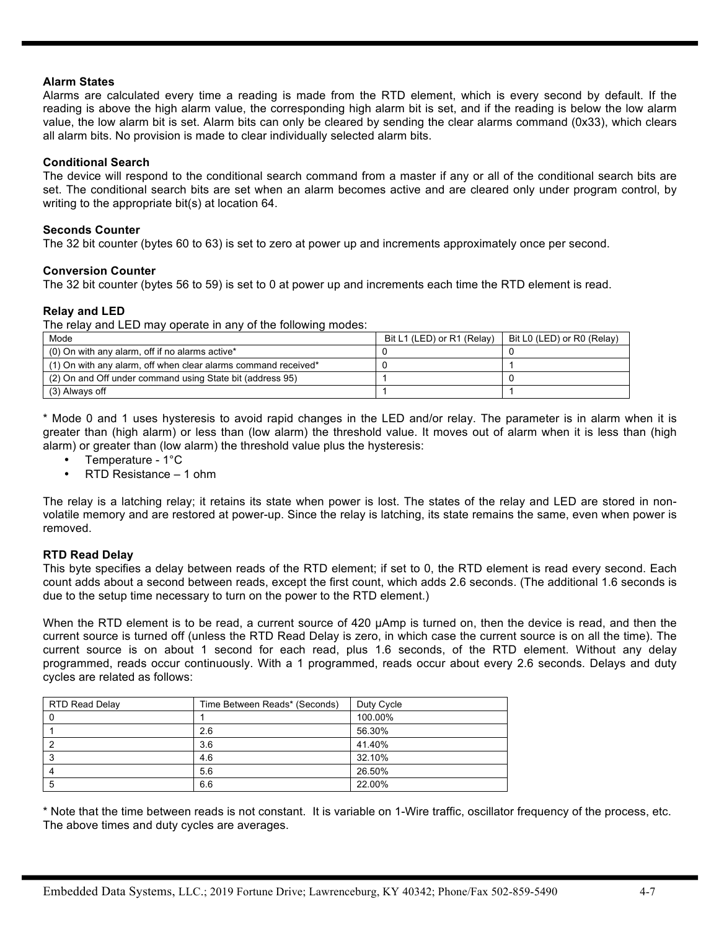## **Alarm States**

Alarms are calculated every time a reading is made from the RTD element, which is every second by default. If the reading is above the high alarm value, the corresponding high alarm bit is set, and if the reading is below the low alarm value, the low alarm bit is set. Alarm bits can only be cleared by sending the clear alarms command (0x33), which clears all alarm bits. No provision is made to clear individually selected alarm bits.

# **Conditional Search**

The device will respond to the conditional search command from a master if any or all of the conditional search bits are set. The conditional search bits are set when an alarm becomes active and are cleared only under program control, by writing to the appropriate bit(s) at location 64.

## **Seconds Counter**

The 32 bit counter (bytes 60 to 63) is set to zero at power up and increments approximately once per second.

# **Conversion Counter**

The 32 bit counter (bytes 56 to 59) is set to 0 at power up and increments each time the RTD element is read.

# **Relay and LED**

The relay and LED may operate in any of the following modes:

| Mode                                                           | Bit L1 (LED) or R1 (Relay) | Bit L0 (LED) or R0 (Relay) |
|----------------------------------------------------------------|----------------------------|----------------------------|
| (0) On with any alarm, off if no alarms active*                |                            |                            |
| (1) On with any alarm, off when clear alarms command received* |                            |                            |
| (2) On and Off under command using State bit (address 95)      |                            |                            |
| (3) Always off                                                 |                            |                            |

\* Mode 0 and 1 uses hysteresis to avoid rapid changes in the LED and/or relay. The parameter is in alarm when it is greater than (high alarm) or less than (low alarm) the threshold value. It moves out of alarm when it is less than (high alarm) or greater than (low alarm) the threshold value plus the hysteresis:

- Temperature 1°C
- RTD Resistance 1 ohm

The relay is a latching relay; it retains its state when power is lost. The states of the relay and LED are stored in nonvolatile memory and are restored at power-up. Since the relay is latching, its state remains the same, even when power is removed.

# **RTD Read Delay**

This byte specifies a delay between reads of the RTD element; if set to 0, the RTD element is read every second. Each count adds about a second between reads, except the first count, which adds 2.6 seconds. (The additional 1.6 seconds is due to the setup time necessary to turn on the power to the RTD element.)

When the RTD element is to be read, a current source of 420 uAmp is turned on, then the device is read, and then the current source is turned off (unless the RTD Read Delay is zero, in which case the current source is on all the time). The current source is on about 1 second for each read, plus 1.6 seconds, of the RTD element. Without any delay programmed, reads occur continuously. With a 1 programmed, reads occur about every 2.6 seconds. Delays and duty cycles are related as follows:

| RTD Read Delay | Time Between Reads* (Seconds) | Duty Cycle |
|----------------|-------------------------------|------------|
|                |                               | 100.00%    |
|                | 2.6                           | 56.30%     |
|                | 3.6                           | 41.40%     |
|                | 4.6                           | 32.10%     |
|                | 5.6                           | 26.50%     |
|                | 6.6                           | 22.00%     |

\* Note that the time between reads is not constant. It is variable on 1-Wire traffic, oscillator frequency of the process, etc. The above times and duty cycles are averages.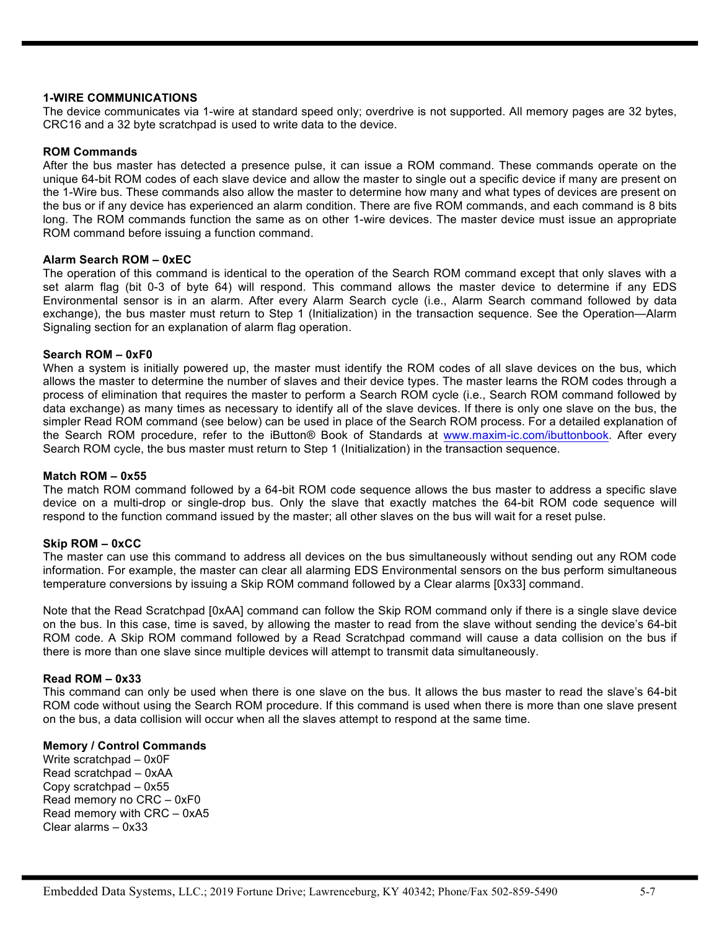# **1-WIRE COMMUNICATIONS**

The device communicates via 1-wire at standard speed only; overdrive is not supported. All memory pages are 32 bytes, CRC16 and a 32 byte scratchpad is used to write data to the device.

## **ROM Commands**

After the bus master has detected a presence pulse, it can issue a ROM command. These commands operate on the unique 64-bit ROM codes of each slave device and allow the master to single out a specific device if many are present on the 1-Wire bus. These commands also allow the master to determine how many and what types of devices are present on the bus or if any device has experienced an alarm condition. There are five ROM commands, and each command is 8 bits long. The ROM commands function the same as on other 1-wire devices. The master device must issue an appropriate ROM command before issuing a function command.

## **Alarm Search ROM – 0xEC**

The operation of this command is identical to the operation of the Search ROM command except that only slaves with a set alarm flag (bit 0-3 of byte 64) will respond. This command allows the master device to determine if any EDS Environmental sensor is in an alarm. After every Alarm Search cycle (i.e., Alarm Search command followed by data exchange), the bus master must return to Step 1 (Initialization) in the transaction sequence. See the Operation—Alarm Signaling section for an explanation of alarm flag operation.

#### **Search ROM – 0xF0**

When a system is initially powered up, the master must identify the ROM codes of all slave devices on the bus, which allows the master to determine the number of slaves and their device types. The master learns the ROM codes through a process of elimination that requires the master to perform a Search ROM cycle (i.e., Search ROM command followed by data exchange) as many times as necessary to identify all of the slave devices. If there is only one slave on the bus, the simpler Read ROM command (see below) can be used in place of the Search ROM process. For a detailed explanation of the Search ROM procedure, refer to the iButton® Book of Standards at www.maxim-ic.com/ibuttonbook. After every Search ROM cycle, the bus master must return to Step 1 (Initialization) in the transaction sequence.

## **Match ROM – 0x55**

The match ROM command followed by a 64-bit ROM code sequence allows the bus master to address a specific slave device on a multi-drop or single-drop bus. Only the slave that exactly matches the 64-bit ROM code sequence will respond to the function command issued by the master; all other slaves on the bus will wait for a reset pulse.

## **Skip ROM – 0xCC**

The master can use this command to address all devices on the bus simultaneously without sending out any ROM code information. For example, the master can clear all alarming EDS Environmental sensors on the bus perform simultaneous temperature conversions by issuing a Skip ROM command followed by a Clear alarms [0x33] command.

Note that the Read Scratchpad [0xAA] command can follow the Skip ROM command only if there is a single slave device on the bus. In this case, time is saved, by allowing the master to read from the slave without sending the device's 64-bit ROM code. A Skip ROM command followed by a Read Scratchpad command will cause a data collision on the bus if there is more than one slave since multiple devices will attempt to transmit data simultaneously.

## **Read ROM – 0x33**

This command can only be used when there is one slave on the bus. It allows the bus master to read the slave's 64-bit ROM code without using the Search ROM procedure. If this command is used when there is more than one slave present on the bus, a data collision will occur when all the slaves attempt to respond at the same time.

## **Memory / Control Commands**

Write scratchpad – 0x0F Read scratchpad – 0xAA Copy scratchpad – 0x55 Read memory no CRC – 0xF0 Read memory with CRC – 0xA5 Clear alarms – 0x33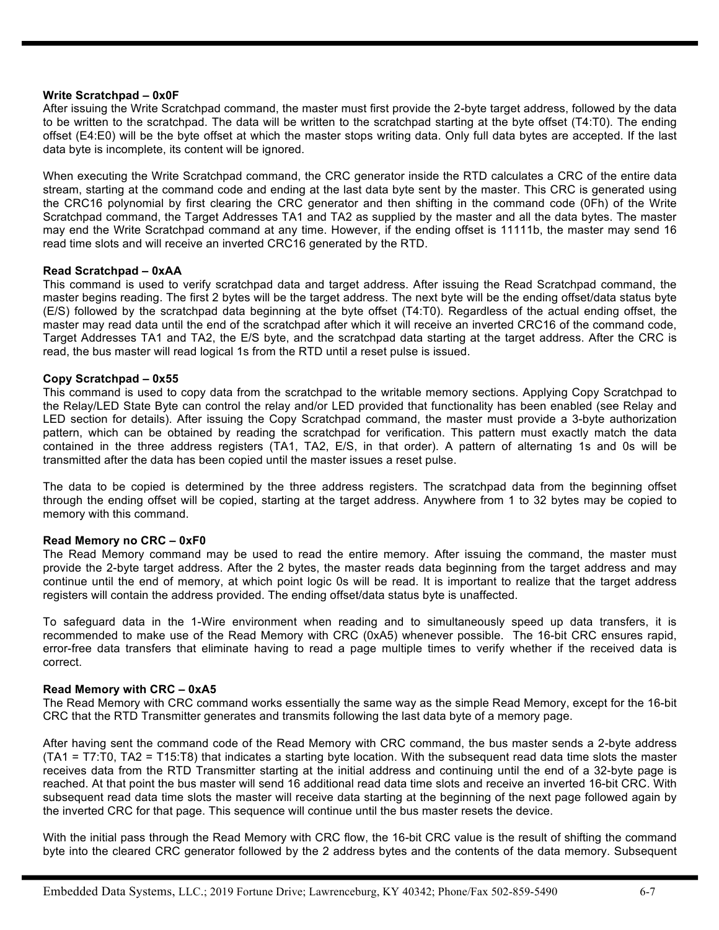#### **Write Scratchpad – 0x0F**

After issuing the Write Scratchpad command, the master must first provide the 2-byte target address, followed by the data to be written to the scratchpad. The data will be written to the scratchpad starting at the byte offset (T4:T0). The ending offset (E4:E0) will be the byte offset at which the master stops writing data. Only full data bytes are accepted. If the last data byte is incomplete, its content will be ignored.

When executing the Write Scratchpad command, the CRC generator inside the RTD calculates a CRC of the entire data stream, starting at the command code and ending at the last data byte sent by the master. This CRC is generated using the CRC16 polynomial by first clearing the CRC generator and then shifting in the command code (0Fh) of the Write Scratchpad command, the Target Addresses TA1 and TA2 as supplied by the master and all the data bytes. The master may end the Write Scratchpad command at any time. However, if the ending offset is 11111b, the master may send 16 read time slots and will receive an inverted CRC16 generated by the RTD.

#### **Read Scratchpad – 0xAA**

This command is used to verify scratchpad data and target address. After issuing the Read Scratchpad command, the master begins reading. The first 2 bytes will be the target address. The next byte will be the ending offset/data status byte (E/S) followed by the scratchpad data beginning at the byte offset (T4:T0). Regardless of the actual ending offset, the master may read data until the end of the scratchpad after which it will receive an inverted CRC16 of the command code, Target Addresses TA1 and TA2, the E/S byte, and the scratchpad data starting at the target address. After the CRC is read, the bus master will read logical 1s from the RTD until a reset pulse is issued.

#### **Copy Scratchpad – 0x55**

This command is used to copy data from the scratchpad to the writable memory sections. Applying Copy Scratchpad to the Relay/LED State Byte can control the relay and/or LED provided that functionality has been enabled (see Relay and LED section for details). After issuing the Copy Scratchpad command, the master must provide a 3-byte authorization pattern, which can be obtained by reading the scratchpad for verification. This pattern must exactly match the data contained in the three address registers (TA1, TA2, E/S, in that order). A pattern of alternating 1s and 0s will be transmitted after the data has been copied until the master issues a reset pulse.

The data to be copied is determined by the three address registers. The scratchpad data from the beginning offset through the ending offset will be copied, starting at the target address. Anywhere from 1 to 32 bytes may be copied to memory with this command.

#### **Read Memory no CRC – 0xF0**

The Read Memory command may be used to read the entire memory. After issuing the command, the master must provide the 2-byte target address. After the 2 bytes, the master reads data beginning from the target address and may continue until the end of memory, at which point logic 0s will be read. It is important to realize that the target address registers will contain the address provided. The ending offset/data status byte is unaffected.

To safeguard data in the 1-Wire environment when reading and to simultaneously speed up data transfers, it is recommended to make use of the Read Memory with CRC (0xA5) whenever possible. The 16-bit CRC ensures rapid, error-free data transfers that eliminate having to read a page multiple times to verify whether if the received data is correct.

#### **Read Memory with CRC – 0xA5**

The Read Memory with CRC command works essentially the same way as the simple Read Memory, except for the 16-bit CRC that the RTD Transmitter generates and transmits following the last data byte of a memory page.

After having sent the command code of the Read Memory with CRC command, the bus master sends a 2-byte address (TA1 = T7:T0, TA2 = T15:T8) that indicates a starting byte location. With the subsequent read data time slots the master receives data from the RTD Transmitter starting at the initial address and continuing until the end of a 32-byte page is reached. At that point the bus master will send 16 additional read data time slots and receive an inverted 16-bit CRC. With subsequent read data time slots the master will receive data starting at the beginning of the next page followed again by the inverted CRC for that page. This sequence will continue until the bus master resets the device.

With the initial pass through the Read Memory with CRC flow, the 16-bit CRC value is the result of shifting the command byte into the cleared CRC generator followed by the 2 address bytes and the contents of the data memory. Subsequent